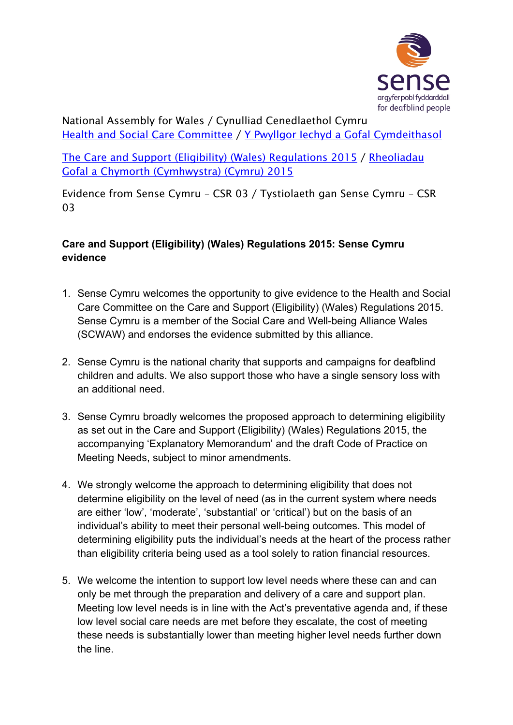

National Assembly for Wales / Cynulliad Cenedlaethol Cymru Health and Social Care [Committee](http://www.senedd.assembly.wales/mgCommitteeDetails.aspx?ID=227) / Y Pwyllgor Iechyd a Gofal [Cymdeithasol](http://www.senedd.cynulliad.cymru/mgCommitteeDetails.aspx?ID=227)

The Care and Support (Eligibility) (Wales) [Regulations](http://www.senedd.assembly.wales/mgConsultationDisplay.aspx?ID=177) 2015 / [Rheoliadau](http://www.senedd.cynulliad.cymru/mgConsultationDisplay.aspx?ID=177) Gofal a Chymorth [\(Cymhwystra\)](http://www.senedd.cynulliad.cymru/mgConsultationDisplay.aspx?ID=177) (Cymru) 2015

Evidence from Sense Cymru – CSR 03 / Tystiolaeth gan Sense Cymru – CSR 03

## **Care and Support (Eligibility) (Wales) Regulations 2015: Sense Cymru evidence**

- 1. Sense Cymru welcomes the opportunity to give evidence to the Health and Social Care Committee on the Care and Support (Eligibility) (Wales) Regulations 2015. Sense Cymru is a member of the Social Care and Well-being Alliance Wales (SCWAW) and endorses the evidence submitted by this alliance.
- 2. Sense Cymru is the national charity that supports and campaigns for deafblind children and adults. We also support those who have a single sensory loss with an additional need.
- 3. Sense Cymru broadly welcomes the proposed approach to determining eligibility as set out in the Care and Support (Eligibility) (Wales) Regulations 2015, the accompanying 'Explanatory Memorandum' and the draft Code of Practice on Meeting Needs, subject to minor amendments.
- 4. We strongly welcome the approach to determining eligibility that does not determine eligibility on the level of need (as in the current system where needs are either 'low', 'moderate', 'substantial' or 'critical') but on the basis of an individual's ability to meet their personal well-being outcomes. This model of determining eligibility puts the individual's needs at the heart of the process rather than eligibility criteria being used as a tool solely to ration financial resources.
- 5. We welcome the intention to support low level needs where these can and can only be met through the preparation and delivery of a care and support plan. Meeting low level needs is in line with the Act's preventative agenda and, if these low level social care needs are met before they escalate, the cost of meeting these needs is substantially lower than meeting higher level needs further down the line.